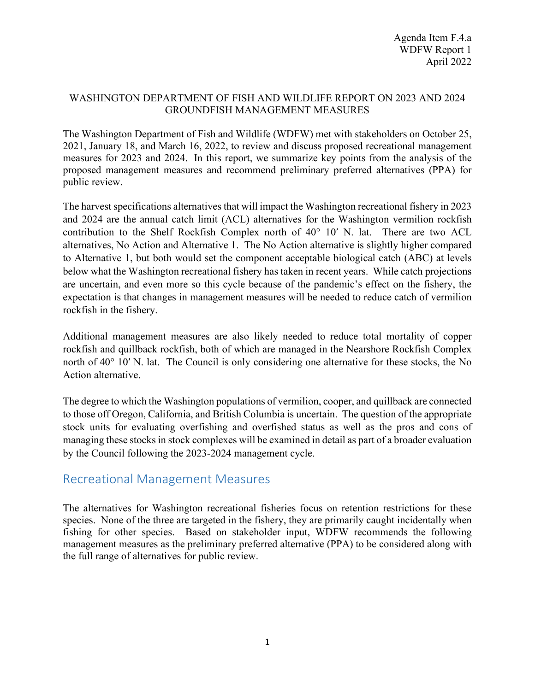## WASHINGTON DEPARTMENT OF FISH AND WILDLIFE REPORT ON 2023 AND 2024 GROUNDFISH MANAGEMENT MEASURES

The Washington Department of Fish and Wildlife (WDFW) met with stakeholders on October 25, 2021, January 18, and March 16, 2022, to review and discuss proposed recreational management measures for 2023 and 2024. In this report, we summarize key points from the analysis of the proposed management measures and recommend preliminary preferred alternatives (PPA) for public review.

The harvest specifications alternatives that will impact the Washington recreational fishery in 2023 and 2024 are the annual catch limit (ACL) alternatives for the Washington vermilion rockfish contribution to the Shelf Rockfish Complex north of 40° 10′ N. lat. There are two ACL alternatives, No Action and Alternative 1. The No Action alternative is slightly higher compared to Alternative 1, but both would set the component acceptable biological catch (ABC) at levels below what the Washington recreational fishery has taken in recent years. While catch projections are uncertain, and even more so this cycle because of the pandemic's effect on the fishery, the expectation is that changes in management measures will be needed to reduce catch of vermilion rockfish in the fishery.

Additional management measures are also likely needed to reduce total mortality of copper rockfish and quillback rockfish, both of which are managed in the Nearshore Rockfish Complex north of 40° 10′ N. lat. The Council is only considering one alternative for these stocks, the No Action alternative.

The degree to which the Washington populations of vermilion, cooper, and quillback are connected to those off Oregon, California, and British Columbia is uncertain. The question of the appropriate stock units for evaluating overfishing and overfished status as well as the pros and cons of managing these stocks in stock complexes will be examined in detail as part of a broader evaluation by the Council following the 2023-2024 management cycle.

## Recreational Management Measures

The alternatives for Washington recreational fisheries focus on retention restrictions for these species. None of the three are targeted in the fishery, they are primarily caught incidentally when fishing for other species. Based on stakeholder input, WDFW recommends the following management measures as the preliminary preferred alternative (PPA) to be considered along with the full range of alternatives for public review.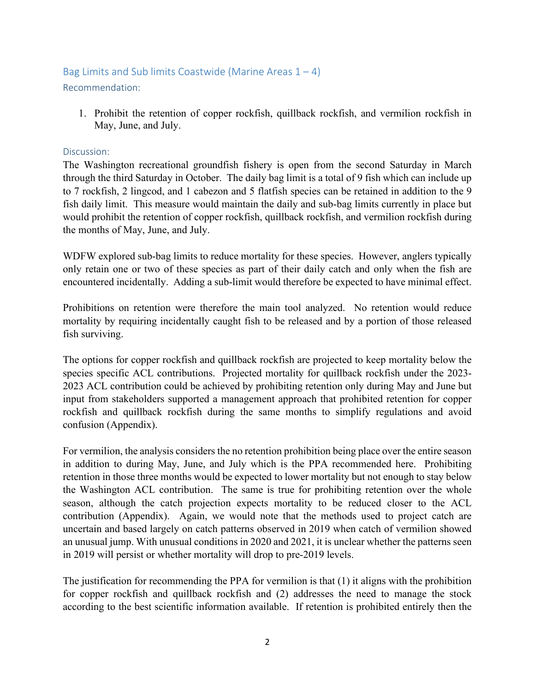## Bag Limits and Sub limits Coastwide (Marine Areas  $1 - 4$ ) Recommendation:

1. Prohibit the retention of copper rockfish, quillback rockfish, and vermilion rockfish in May, June, and July.

## Discussion:

The Washington recreational groundfish fishery is open from the second Saturday in March through the third Saturday in October. The daily bag limit is a total of 9 fish which can include up to 7 rockfish, 2 lingcod, and 1 cabezon and 5 flatfish species can be retained in addition to the 9 fish daily limit. This measure would maintain the daily and sub-bag limits currently in place but would prohibit the retention of copper rockfish, quillback rockfish, and vermilion rockfish during the months of May, June, and July.

WDFW explored sub-bag limits to reduce mortality for these species. However, anglers typically only retain one or two of these species as part of their daily catch and only when the fish are encountered incidentally. Adding a sub-limit would therefore be expected to have minimal effect.

Prohibitions on retention were therefore the main tool analyzed. No retention would reduce mortality by requiring incidentally caught fish to be released and by a portion of those released fish surviving.

The options for copper rockfish and quillback rockfish are projected to keep mortality below the species specific ACL contributions. Projected mortality for quillback rockfish under the 2023- 2023 ACL contribution could be achieved by prohibiting retention only during May and June but input from stakeholders supported a management approach that prohibited retention for copper rockfish and quillback rockfish during the same months to simplify regulations and avoid confusion (Appendix).

For vermilion, the analysis considers the no retention prohibition being place over the entire season in addition to during May, June, and July which is the PPA recommended here. Prohibiting retention in those three months would be expected to lower mortality but not enough to stay below the Washington ACL contribution. The same is true for prohibiting retention over the whole season, although the catch projection expects mortality to be reduced closer to the ACL contribution (Appendix). Again, we would note that the methods used to project catch are uncertain and based largely on catch patterns observed in 2019 when catch of vermilion showed an unusual jump. With unusual conditions in 2020 and 2021, it is unclear whether the patterns seen in 2019 will persist or whether mortality will drop to pre-2019 levels.

The justification for recommending the PPA for vermilion is that (1) it aligns with the prohibition for copper rockfish and quillback rockfish and (2) addresses the need to manage the stock according to the best scientific information available. If retention is prohibited entirely then the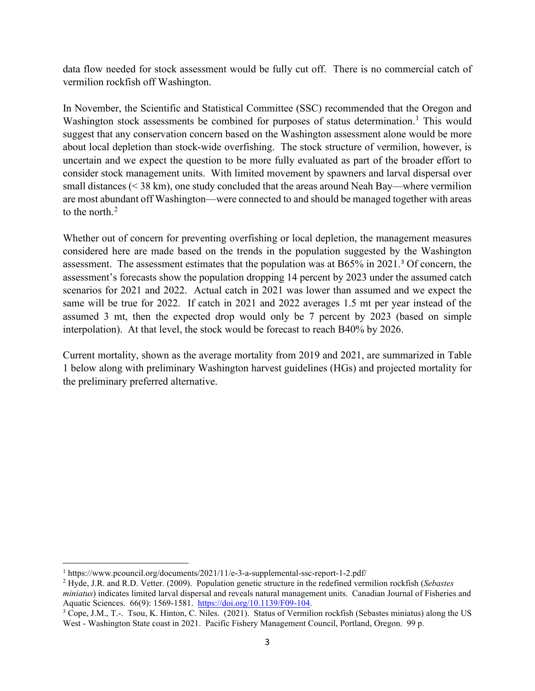data flow needed for stock assessment would be fully cut off. There is no commercial catch of vermilion rockfish off Washington.

In November, the Scientific and Statistical Committee (SSC) recommended that the Oregon and Washington stock assessments be combined for purposes of status determination.<sup>[1](#page-2-0)</sup> This would suggest that any conservation concern based on the Washington assessment alone would be more about local depletion than stock-wide overfishing. The stock structure of vermilion, however, is uncertain and we expect the question to be more fully evaluated as part of the broader effort to consider stock management units. With limited movement by spawners and larval dispersal over small distances (< 38 km), one study concluded that the areas around Neah Bay—where vermilion are most abundant off Washington—were connected to and should be managed together with areas to the north. $2$ 

Whether out of concern for preventing overfishing or local depletion, the management measures considered here are made based on the trends in the population suggested by the Washington assessment. The assessment estimates that the population was at B65% in 2021. [3](#page-2-2) Of concern, the assessment's forecasts show the population dropping 14 percent by 2023 under the assumed catch scenarios for 2021 and 2022. Actual catch in 2021 was lower than assumed and we expect the same will be true for 2022. If catch in 2021 and 2022 averages 1.5 mt per year instead of the assumed 3 mt, then the expected drop would only be 7 percent by 2023 (based on simple interpolation). At that level, the stock would be forecast to reach B40% by 2026.

Current mortality, shown as the average mortality from 2019 and 2021, are summarized in Table 1 below along with preliminary Washington harvest guidelines (HGs) and projected mortality for the preliminary preferred alternative.

<span id="page-2-0"></span><sup>1</sup> https://www.pcouncil.org/documents/2021/11/e-3-a-supplemental-ssc-report-1-2.pdf/

<span id="page-2-1"></span><sup>2</sup> Hyde, J.R. and R.D. Vetter. (2009). Population genetic structure in the redefined vermilion rockfish (*Sebastes miniatus*) indicates limited larval dispersal and reveals natural management units. Canadian Journal of Fisheries and Aquatic Sciences. 66(9): 1569-1581. https://doi.org/10.1139/F09-104.

<span id="page-2-2"></span> $\frac{3}{3}$  Cope, J.M., T.-. Tsou, K. Hinton, C. Niles. (2021). Status of Vermilion rockfish (Sebastes miniatus) along the US West - Washington State coast in 2021. Pacific Fishery Management Council, Portland, Oregon. 99 p.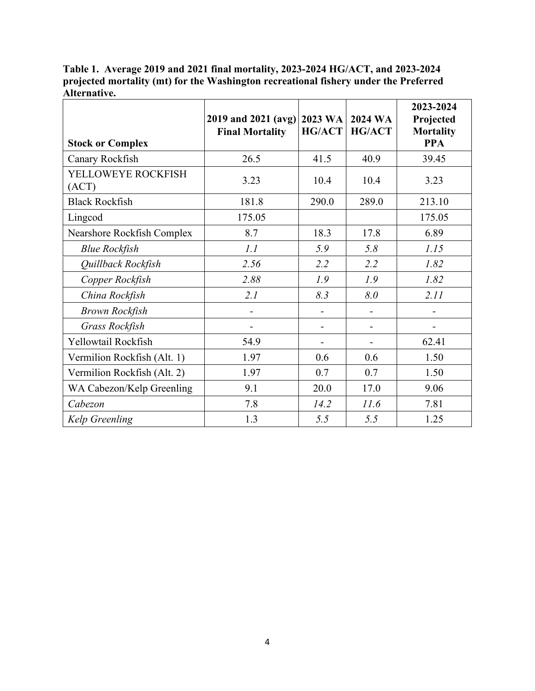**Table 1. Average 2019 and 2021 final mortality, 2023-2024 HG/ACT, and 2023-2024 projected mortality (mt) for the Washington recreational fishery under the Preferred Alternative.**

| <b>Stock or Complex</b>     | 2019 and 2021 (avg)<br><b>Final Mortality</b> | 2023 WA<br>HG/ACT | 2024 WA<br><b>HG/ACT</b> | 2023-2024<br>Projected<br><b>Mortality</b><br><b>PPA</b> |  |
|-----------------------------|-----------------------------------------------|-------------------|--------------------------|----------------------------------------------------------|--|
| Canary Rockfish             | 26.5                                          | 41.5              | 40.9                     | 39.45                                                    |  |
| YELLOWEYE ROCKFISH<br>(ACT) | 3.23                                          | 10.4              | 10.4                     | 3.23                                                     |  |
| <b>Black Rockfish</b>       | 181.8                                         | 290.0             | 289.0                    | 213.10                                                   |  |
| Lingcod                     | 175.05                                        |                   |                          | 175.05                                                   |  |
| Nearshore Rockfish Complex  | 8.7                                           | 18.3              | 17.8                     | 6.89                                                     |  |
| <b>Blue Rockfish</b>        | 1.1                                           | 5.9               | 5.8                      | 1.15                                                     |  |
| Quillback Rockfish          | 2.56                                          | 2.2               | 2.2                      | 1.82                                                     |  |
| Copper Rockfish             | 2.88                                          | 1.9               | 1.9                      | 1.82                                                     |  |
| China Rockfish              | 2.1                                           | 8.3               | 8.0                      | 2.11                                                     |  |
| <b>Brown Rockfish</b>       | $\overline{\phantom{0}}$                      | -                 | $\overline{\phantom{a}}$ |                                                          |  |
| Grass Rockfish              |                                               |                   |                          |                                                          |  |
| Yellowtail Rockfish         | 54.9                                          |                   | $\overline{\phantom{a}}$ | 62.41                                                    |  |
| Vermilion Rockfish (Alt. 1) | 1.97                                          | 0.6               | 0.6                      | 1.50                                                     |  |
| Vermilion Rockfish (Alt. 2) | 1.97                                          | 0.7               | 0.7                      | 1.50                                                     |  |
| WA Cabezon/Kelp Greenling   | 9.1                                           | 20.0              | 17.0                     | 9.06                                                     |  |
| Cabezon                     | 7.8                                           | 14.2              | 11.6                     | 7.81                                                     |  |
| Kelp Greenling              | 1.3                                           | 5.5               | 5.5                      | 1.25                                                     |  |